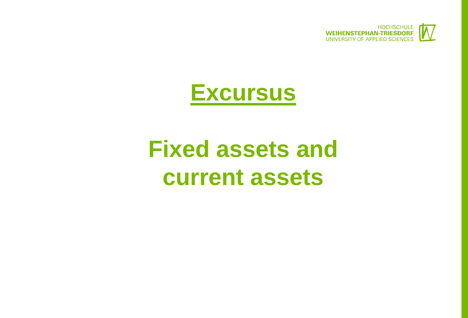

## **Excursus**

# **Fixed assets and current assets**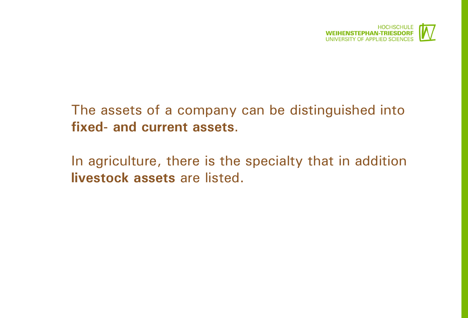

#### The assets of a company can be distinguished into **fixed- and current assets**.

In agriculture, there is the specialty that in addition **livestock assets** are listed.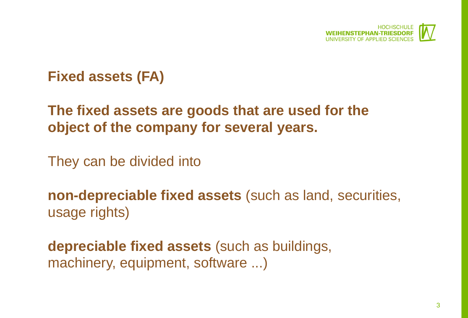

#### **Fixed assets (FA)**

### **The fixed assets are goods that are used for the object of the company for several years.**

They can be divided into

**non-depreciable fixed assets** (such as land, securities, usage rights)

**depreciable fixed assets** (such as buildings, machinery, equipment, software ...)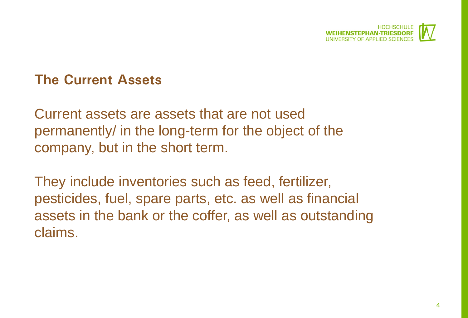

#### **The Current Assets**

Current assets are assets that are not used permanently/ in the long-term for the object of the company, but in the short term.

They include inventories such as feed, fertilizer, pesticides, fuel, spare parts, etc. as well as financial assets in the bank or the coffer, as well as outstanding claims.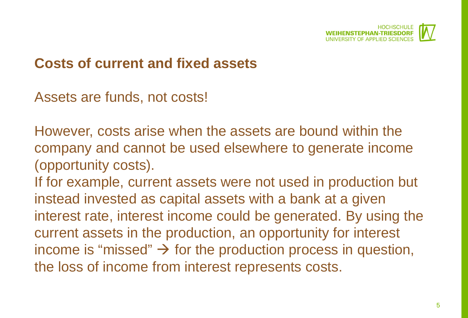

#### **Costs of current and fixed assets**

Assets are funds, not costs!

However, costs arise when the assets are bound within the company and cannot be used elsewhere to generate income (opportunity costs).

If for example, current assets were not used in production but instead invested as capital assets with a bank at a given interest rate, interest income could be generated. By using the current assets in the production, an opportunity for interest income is "missed"  $\rightarrow$  for the production process in question, the loss of income from interest represents costs.